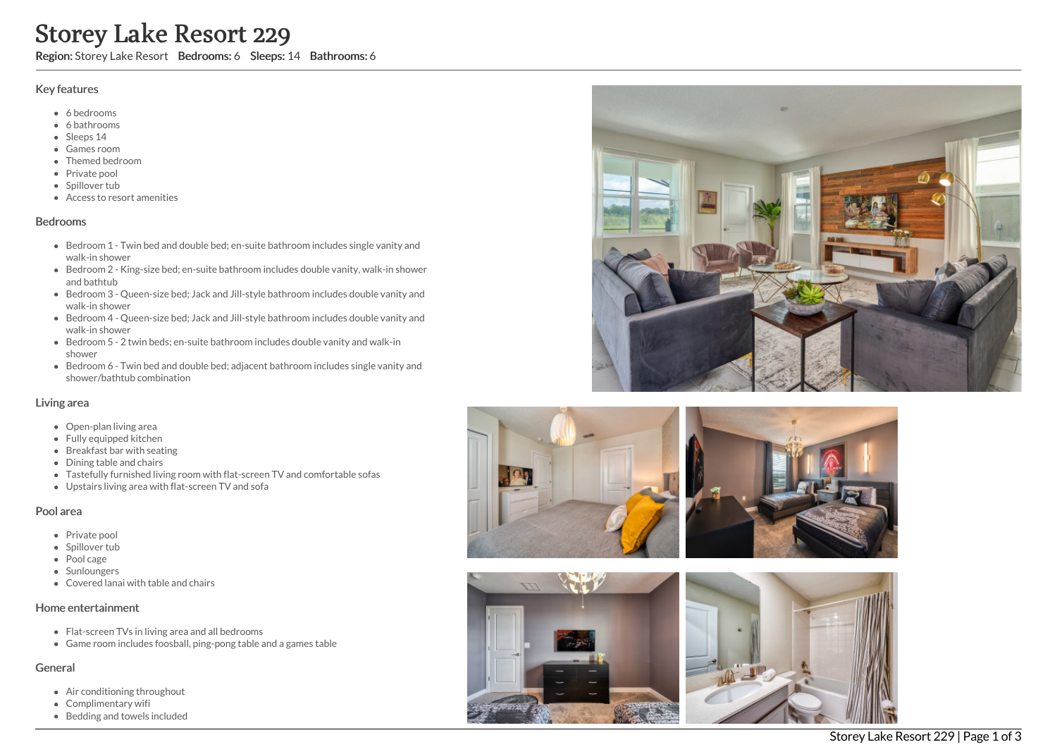# Storey Lake Resort 229

Region: Storey Lake Resort Bedrooms: 6 Sleeps: 14 Bathrooms: 6

### Key features

- 6 b e d r o o m s
- 6 bathrooms
- Sleeps 14
- Games room
- Themed bedroom
- Private pool
- Spillover tub
- Access to resort amenities

#### **Bedrooms**

- Bedroom 1 Twin bed and double bed; en-suite bathroom includes single vanity and walk-in shower
- Bedroom 2 King-size bed; en-suite bathroom includes double vanity, walk-in shower and bathtub
- Bedroom 3 Queen-size bed; Jack and Jill-style bathroom includes double vanity and walk-in shower
- Bedroom 4 Queen-size bed; Jack and Jill-style bathroom includes double vanity and walk-in shower
- Bedroom 5 2 twin beds; en-suite bathroom includes double vanity and walk-in s h o w e r
- Bedroom 6 Twin bed and double bed; adjacent bathroom includes single vanity and shower/bathtub combination

#### Living area

- Open-plan living area
- Fully equipped kitchen
- Breakfast bar with seating
- Dining table and chairs
- Tastefully furnished living room with flat-screen TV and comfortable sofas
- Upstairs living area with flat-screen TV and sofa

## Pool area

- Private pool
- Spillover tub
- Pool cage
- Sunloungers
- Covered lanai with table and chairs

#### Home entertainment

- Flat-screen TVs in living area and all bedrooms
- Game room includes foosball, ping-pong table and a games table

## General

- Air conditioning throughout
- Complimentary wifi
- Bedding and towels in clu d e d







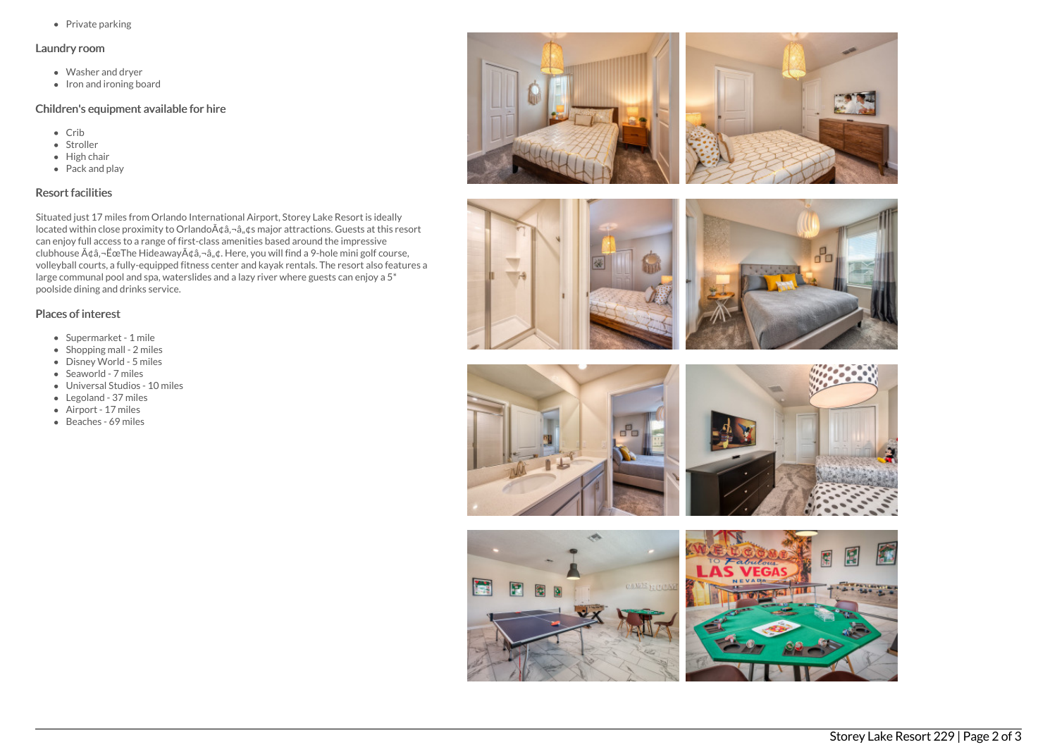$\bullet$  Private parking

#### Laundry room

- Washer and dryer
- $\bullet$  Iron and ironing board

# Children's equipment available for hire

- Crib
- Stroller
- $\bullet$  High chair
- Pack and play

## Resort facilities

Situated just 17 miles from Orlando International Airport, Storey Lake Resort is ideally located within close proximity to Orlando $\tilde{A}$  $\hat{\alpha}$ , $\tilde{\alpha}$ , $\hat{\alpha}$ ,  $\hat{\alpha}$ s major attractions. Guests at this resort can enjoy full access to a range of first-class amenities based around the impressive clubhouse  $\tilde{A} \phi \tilde{a}$ ,  $\tilde{E}$ ce The Hideaway $\tilde{A} \phi \tilde{a}$ ,  $\tilde{a}$ ,  $\phi$ . Here, you will find a 9-hole mini golf course, volleyball courts, a fully-equipped fitness center and kayak rentals. The resort also features a large communal pool and spa, waterslides and a lazy river where guests can enjoy a 5\* poolside dining and drinks service.

## Places of interest

- Supermarket 1 mile
- $\bullet$  Shopping mall 2 miles
- Disney World 5 miles
- Seaworld 7 miles
- Universal Studios 10 miles
- Legoland 37 miles
- Airport 17 miles
- Beaches 69 miles









图